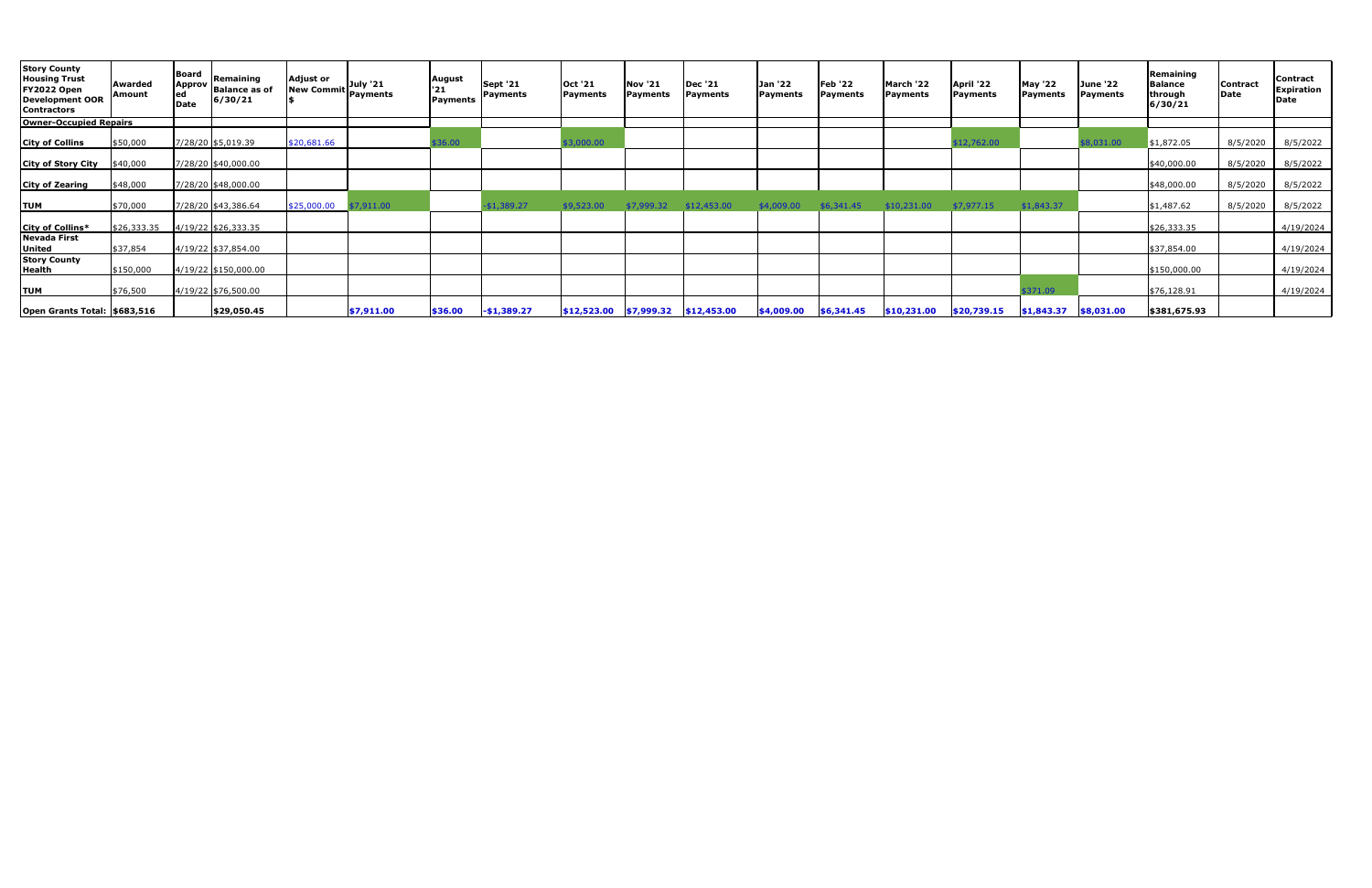| <b>Story County</b><br><b>Housing Trust</b><br>FY2022 Open<br><b>Development OOR</b><br><b>Contractors</b> | Awarded<br>Amount | Board<br>Approv<br>ed<br>Date | Remaining<br><b>Balance as of</b><br>6/30/21 | <b>Adjust or</b><br>July '21<br><b>New Commit</b><br>Payments | August<br>'21<br>Payments | <b>Sept '21</b><br>Payments | Oct '21<br>Payments | <b>Nov '21</b><br><b>Payments</b>        | <b>Dec '21</b><br>Payments | Jan '22<br>Payments | <b>Feb '22</b><br>Payments | March '22<br><b>Payments</b> | April '22<br>Payments | <b>May '22</b><br>Payments | June '22<br><b>Payments</b> | Remaining<br>Balance<br>through<br>6/30/21 | Contract<br>Date | <b>Contract</b><br><b>Expiration</b><br>Date |
|------------------------------------------------------------------------------------------------------------|-------------------|-------------------------------|----------------------------------------------|---------------------------------------------------------------|---------------------------|-----------------------------|---------------------|------------------------------------------|----------------------------|---------------------|----------------------------|------------------------------|-----------------------|----------------------------|-----------------------------|--------------------------------------------|------------------|----------------------------------------------|
| <b>Owner-Occupied Repairs</b>                                                                              |                   |                               |                                              |                                                               |                           |                             |                     |                                          |                            |                     |                            |                              |                       |                            |                             |                                            |                  |                                              |
| <b>City of Collins</b>                                                                                     | \$50,000          |                               | 7/28/20 \$5,019.39                           | \$20,681.66                                                   | \$36.00                   |                             | \$3,000.00          |                                          |                            |                     |                            |                              | \$12,762.00           |                            | 8.031.00                    | \$1,872.05                                 | 8/5/2020         | 8/5/2022                                     |
| <b>City of Story City</b>                                                                                  | \$40,000          |                               | 7/28/20 \$40,000.00                          |                                                               |                           |                             |                     |                                          |                            |                     |                            |                              |                       |                            |                             | \$40,000.00                                | 8/5/2020         | 8/5/2022                                     |
| <b>City of Zearing</b>                                                                                     | \$48,000          |                               | 7/28/20 \$48,000.00                          |                                                               |                           |                             |                     |                                          |                            |                     |                            |                              |                       |                            |                             | \$48,000.00                                | 8/5/2020         | 8/5/2022                                     |
| <b>TUM</b>                                                                                                 | \$70,000          |                               | 7/28/20 \$43,386.64                          | \$25,000.00<br>\$7,911.00                                     |                           | \$1,389.27                  | \$9,523.00          | \$7,999.32                               | \$12,453.00                | \$4,009.00          | \$6,341.45                 | \$10,231.00                  | \$7,977.15            | \$1,843.37                 |                             | \$1,487.62                                 | 8/5/2020         | 8/5/2022                                     |
| City of Collins*                                                                                           | \$26,333.35       |                               | 4/19/22 \$26,333.35                          |                                                               |                           |                             |                     |                                          |                            |                     |                            |                              |                       |                            |                             | \$26,333.35                                |                  | 4/19/2024                                    |
| <b>Nevada First</b><br><b>United</b>                                                                       | \$37,854          |                               | 4/19/22 \$37,854.00                          |                                                               |                           |                             |                     |                                          |                            |                     |                            |                              |                       |                            |                             | \$37,854.00                                |                  | 4/19/2024                                    |
| <b>Story County</b><br><b>Health</b>                                                                       | \$150,000         |                               | 4/19/22 \$150,000.00                         |                                                               |                           |                             |                     |                                          |                            |                     |                            |                              |                       |                            |                             | \$150,000.00                               |                  | 4/19/2024                                    |
| <b>TUM</b>                                                                                                 | \$76,500          |                               | $ 4/19/22 $ \$76,500.00                      |                                                               |                           |                             |                     |                                          |                            |                     |                            |                              |                       | \$371.09                   |                             | \$76,128.91                                |                  | 4/19/2024                                    |
| Open Grants Total: \$683,516                                                                               |                   |                               | \$29,050.45                                  | \$7,911.00                                                    | \$36.00                   | $-$1,389.27$                |                     | $ $12,523.00$ $ $7,999.32$ $ $12,453.00$ |                            | \$4,009.00          | \$6,341.45                 | \$10,231.00                  | \$20,739.15           | $$1,843.37$ $$8,031.00$    |                             | \$381,675.93                               |                  |                                              |